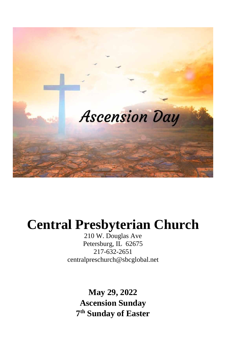

# **Central Presbyterian Church**

210 W. Douglas Ave Petersburg, IL 62675 217-632-2651 [centralpreschurch@sbcglobal.net](mailto:centralpreschurch@sbcglobal.net)

> **May 29, 2022 Ascension Sunday 7 th Sunday of Easter**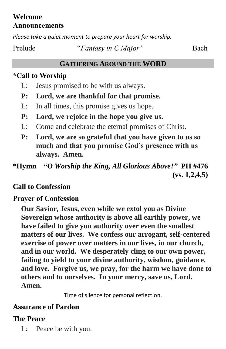### **Welcome Announcements**

*Please take a quiet moment to prepare your heart for worship.*

### **GATHERING AROUND THE WORD**

## **\*Call to Worship**

- L: Jesus promised to be with us always.
- **P: Lord, we are thankful for that promise.**
- L: In all times, this promise gives us hope.
- **P: Lord, we rejoice in the hope you give us.**
- L: Come and celebrate the eternal promises of Christ.
- **P: Lord, we are so grateful that you have given to us so much and that you promise God's presence with us always. Amen.**

**\*Hymn "***O Worship the King, All Glorious Above!"* **PH #476 (vs. 1,2,4,5)**

# **Call to Confession**

# **Prayer of Confession**

**Our Savior, Jesus, even while we extol you as Divine Sovereign whose authority is above all earthly power, we have failed to give you authority over even the smallest matters of our lives. We confess our arrogant, self-centered exercise of power over matters in our lives, in our church, and in our world. We desperately cling to our own power, failing to yield to your divine authority, wisdom, guidance, and love. Forgive us, we pray, for the harm we have done to others and to ourselves. In your mercy, save us, Lord. Amen.**

Time of silence for personal reflection.

# **Assurance of Pardon**

# **The Peace**

L: Peace be with you.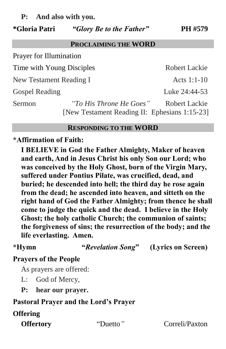**P: And also with you.**

#### **\*Gloria Patri** *"Glory Be to the Father"* **PH #579**

#### **PROCLAIMING THE WORD**

| <b>Prayer for Illumination</b>                |                         |               |
|-----------------------------------------------|-------------------------|---------------|
| Time with Young Disciples                     |                         | Robert Lackie |
| New Testament Reading I                       |                         | Acts $1:1-10$ |
| <b>Gospel Reading</b>                         |                         | Luke 24:44-53 |
| Sermon                                        | "To His Throne He Goes" | Robert Lackie |
| [New Testament Reading II: Ephesians 1:15-23] |                         |               |

#### **RESPONDING TO THE WORD**

#### **\*Affirmation of Faith:**

**I BELIEVE in God the Father Almighty, Maker of heaven and earth, And in Jesus Christ his only Son our Lord; who was conceived by the Holy Ghost, born of the Virgin Mary, suffered under Pontius Pilate, was crucified, dead, and buried; he descended into hell; the third day he rose again from the dead; he ascended into heaven, and sitteth on the right hand of God the Father Almighty; from thence he shall come to judge the quick and the dead. I believe in the Holy Ghost; the holy catholic Church; the communion of saints; the forgiveness of sins; the resurrection of the body; and the life everlasting. Amen.**

**\*Hymn "***Revelation Song***" (Lyrics on Screen)**

### **Prayers of the People**

As prayers are offered:

- L: God of Mercy,
- **P: hear our prayer.**

#### **Pastoral Prayer and the Lord's Prayer**

#### **Offering**

**Offertory** "Duetto" Correli/Paxton